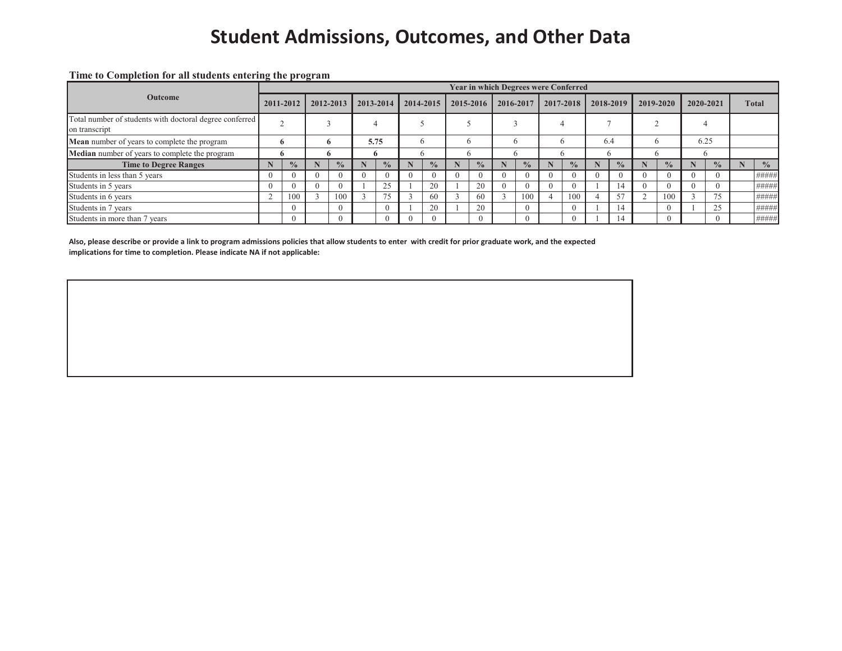# **Student Admissions, Outcomes, and Other Data**

**Time to Completion for all students entering the program**

|                                                                          |  |               |  |               |  |               |          |               |  |                |   | <b>Year in which Degrees were Conferred</b> |  |               |              |               |  |               |           |               |              |               |
|--------------------------------------------------------------------------|--|---------------|--|---------------|--|---------------|----------|---------------|--|----------------|---|---------------------------------------------|--|---------------|--------------|---------------|--|---------------|-----------|---------------|--------------|---------------|
| <b>Outcome</b>                                                           |  | 2011-2012     |  | 2012-2013     |  | 2013-2014     |          | 2014-2015     |  | 2015-2016      |   | 2016-2017                                   |  | 2017-2018     |              | 2018-2019     |  | 2019-2020     | 2020-2021 |               | <b>Total</b> |               |
| Total number of students with doctoral degree conferred<br>on transcript |  |               |  |               |  |               |          |               |  |                |   |                                             |  |               |              |               |  |               |           |               |              |               |
| <b>Mean</b> number of years to complete the program                      |  | o             |  | o             |  | 5.75          |          |               |  | $\mathfrak{b}$ | n |                                             |  |               | 6.4          |               |  |               | 6.25      |               |              |               |
| Median number of years to complete the program                           |  | n             |  | Ð             |  |               |          |               |  | $\mathfrak{b}$ |   | 'n                                          |  |               |              |               |  |               |           |               |              |               |
| <b>Time to Degree Ranges</b>                                             |  | $\frac{0}{2}$ |  | $\frac{0}{0}$ |  | $\frac{0}{0}$ |          | $\frac{0}{0}$ |  | $\frac{0}{0}$  |   | $\frac{0}{0}$                               |  | $\frac{0}{0}$ |              | $\frac{0}{0}$ |  | $\frac{0}{0}$ |           | $\frac{0}{0}$ |              | $\frac{0}{0}$ |
| Students in less than 5 years                                            |  |               |  |               |  |               | $\theta$ |               |  |                |   | -0                                          |  | $\theta$      | $\mathbf{U}$ |               |  | $\theta$      |           | - ( )         |              | #####         |
| Students in 5 years                                                      |  |               |  |               |  | 25            |          | 20            |  | 20             |   |                                             |  |               |              | 14            |  | $\Omega$      |           | - ( )         |              | #####         |
| Students in 6 years                                                      |  | 100           |  | 100           |  | 75            |          | 60            |  | 60             |   | 100                                         |  | 100           |              | 57            |  | 100           |           | 75            |              | #####         |
| Students in 7 years                                                      |  |               |  | $\Omega$      |  |               |          | 20            |  | 20             |   | $\Omega$                                    |  | $\Omega$      |              | 14            |  | $\Omega$      |           | 25            |              | #####         |
| Students in more than 7 years                                            |  |               |  | $\Omega$      |  |               | $\theta$ |               |  |                |   | $\Omega$                                    |  | $\Omega$      |              | 14            |  | $\Omega$      |           | $\Omega$      |              | #####         |

**Also, please describe or provide a link to program admissions policies that allow students to enter with credit for prior graduate work, and the expected implications for time to completion. Please indicate NA if not applicable:**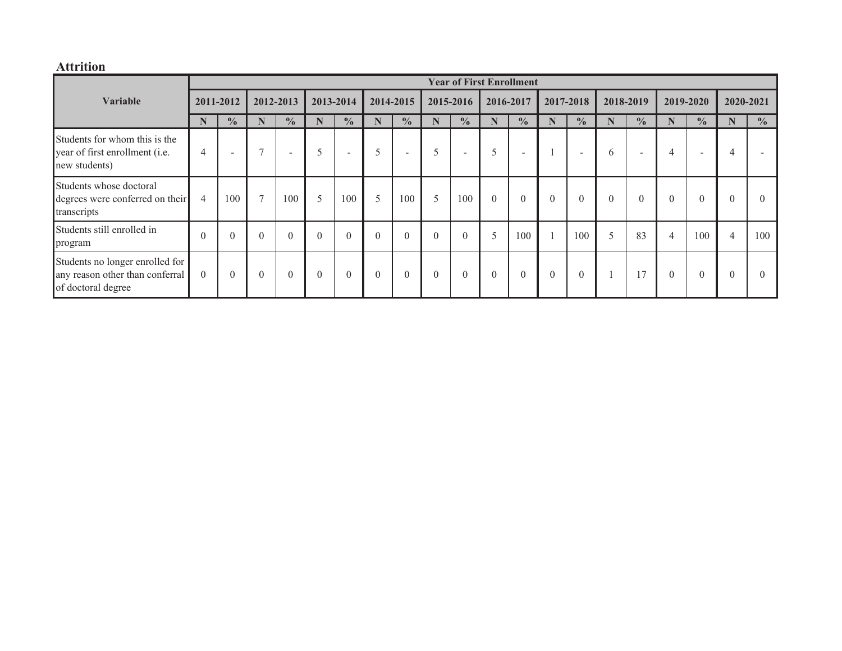## **Attrition**

|                                                                                          |                |                          |                |                  |             |                  |           |                          |           |                          |                | <b>Year of First Enrollment</b> |           |                          |           |                          |                |               |                |               |
|------------------------------------------------------------------------------------------|----------------|--------------------------|----------------|------------------|-------------|------------------|-----------|--------------------------|-----------|--------------------------|----------------|---------------------------------|-----------|--------------------------|-----------|--------------------------|----------------|---------------|----------------|---------------|
| Variable                                                                                 | 2011-2012      |                          | 2012-2013      |                  | 2013-2014   |                  | 2014-2015 |                          | 2015-2016 |                          | 2016-2017      |                                 | 2017-2018 |                          | 2018-2019 |                          | 2019-2020      |               | 2020-2021      |               |
|                                                                                          |                | $\frac{0}{0}$            | N              | $\frac{0}{0}$    | $\mathbf N$ | $\frac{0}{0}$    | N         | $\frac{0}{0}$            | N         | $\frac{0}{0}$            | N              | $\frac{0}{0}$                   | N         | $\frac{0}{0}$            | N         | $\frac{0}{0}$            | N              | $\frac{0}{0}$ | Ñ              | $\frac{0}{0}$ |
| Students for whom this is the<br>year of first enrollment (i.e.<br>new students)         | $\overline{4}$ | $\overline{\phantom{a}}$ | $\overline{ }$ | $\sim$           | 5           | $\sim$           | 5         | $\overline{\phantom{a}}$ | 5         | $\overline{\phantom{a}}$ | 5              | $\overline{\phantom{a}}$        |           | $\overline{\phantom{a}}$ | 6         | $\overline{\phantom{a}}$ | 4              | -             | 4              |               |
| Students whose doctoral<br>degrees were conferred on their<br>transcripts                | $\overline{4}$ | 100                      | $\tau$         | 100              | 5           | 100              | 5         | 100                      | 5         | 100                      | $\overline{0}$ | $\boldsymbol{0}$                | $\theta$  | $\boldsymbol{0}$         | $\theta$  | $\theta$                 | $\overline{0}$ |               | $\theta$       |               |
| Students still enrolled in<br>program                                                    | $\theta$       | $\theta$                 | $\Omega$       | $\boldsymbol{0}$ | $\theta$    | $\boldsymbol{0}$ | $\theta$  | $\boldsymbol{0}$         | $\theta$  | $\overline{0}$           | 5              | 100                             |           | 100                      | 5         | 83                       | $\overline{4}$ | 100           | $\overline{4}$ | 100           |
| Students no longer enrolled for<br>any reason other than conferral<br>of doctoral degree | $\theta$       | $\theta$                 | $\Omega$       | $\theta$         | $\Omega$    | $\theta$         | $\theta$  | $\theta$                 | $\theta$  | $\theta$                 | $\theta$       | $\theta$                        | $\theta$  | $\theta$                 |           | 17                       | $\theta$       |               | $\theta$       |               |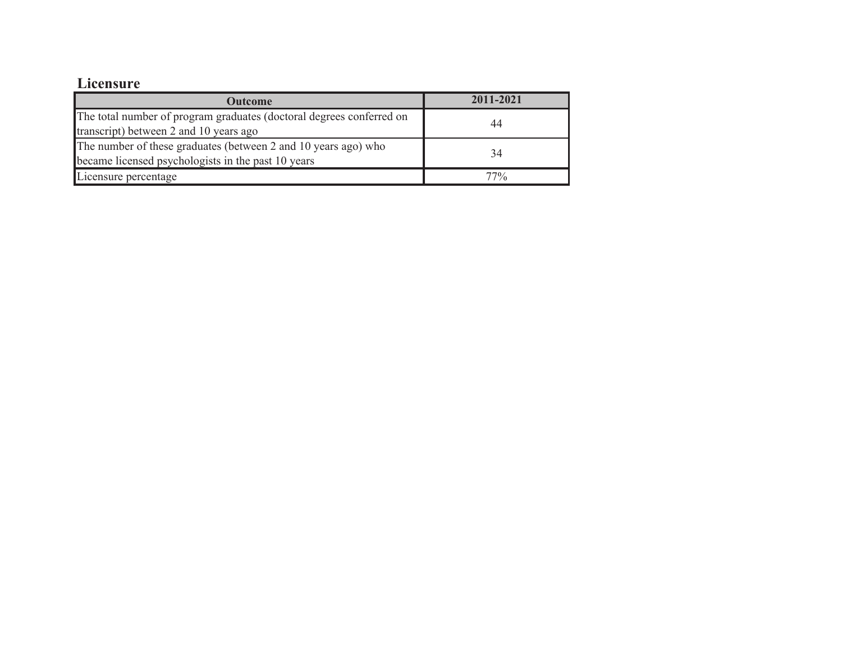## **Licensure**

| <b>Outcome</b>                                                       | 2011-2021 |  |  |  |  |
|----------------------------------------------------------------------|-----------|--|--|--|--|
| The total number of program graduates (doctoral degrees conferred on | 44        |  |  |  |  |
| transcript) between 2 and 10 years ago                               |           |  |  |  |  |
| The number of these graduates (between 2 and 10 years ago) who       | 34        |  |  |  |  |
| became licensed psychologists in the past 10 years                   |           |  |  |  |  |
| Licensure percentage                                                 | 77%       |  |  |  |  |